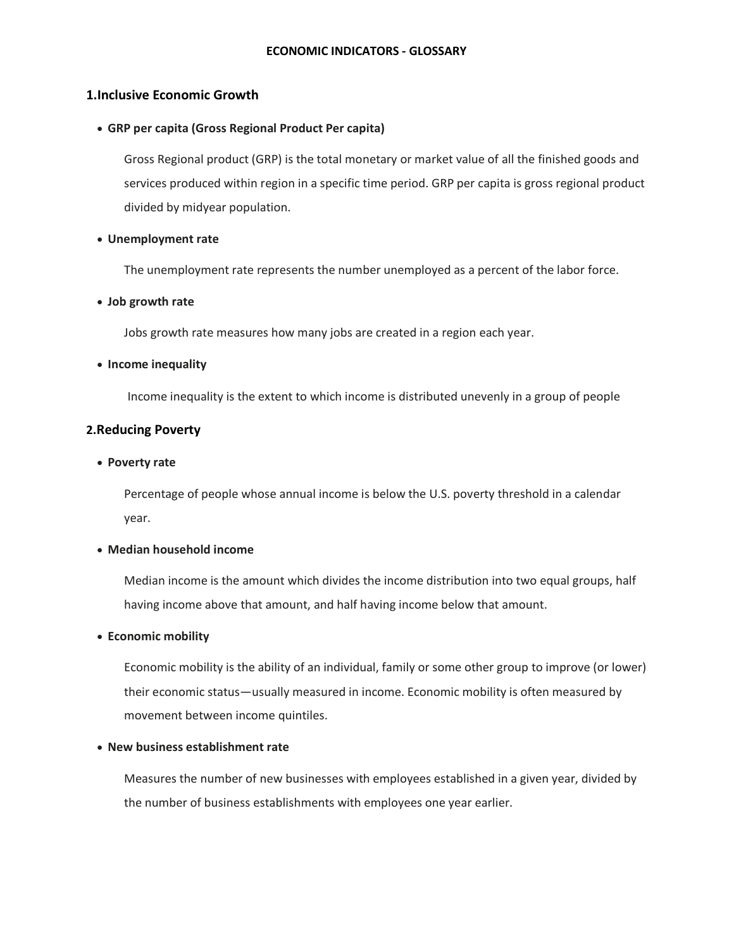# **1.Inclusive Economic Growth**

• **GRP per capita (Gross Regional Product Per capita)**

Gross Regional product (GRP) is the total monetary or market value of all the finished goods and services produced within region in a specific time period. GRP per capita is gross regional product divided by midyear population.

### • **Unemployment rate**

The unemployment rate represents the number unemployed as a percent of the labor force.

## • **Job growth rate**

Jobs growth rate measures how many jobs are created in a region each year.

## • **Income inequality**

Income inequality is the extent to which income is distributed unevenly in a group of people

## **2.Reducing Poverty**

• **Poverty rate**

Percentage of people whose annual income is below the U.S. poverty threshold in a calendar year.

# • **Median household income**

[Median](https://en.wikipedia.org/wiki/Median) income is the amount which divides the [income distribution](https://en.wikipedia.org/wiki/Income_distribution) into two equal groups, half having income above that amount, and half having income below that amount.

#### • **Economic mobility**

Economic mobility is the ability of an individual, family or some other group to improve (or lower) their [economic](https://en.wikipedia.org/wiki/Economic) status—usually measured in [income.](https://en.wikipedia.org/wiki/Income) Economic mobility is often measured by movement between [income quintiles.](https://en.wikipedia.org/wiki/Income_quintiles)

#### • **New business establishment rate**

Measures the number of new businesses with employees established in a given year, divided by the number of business establishments with employees one year earlier.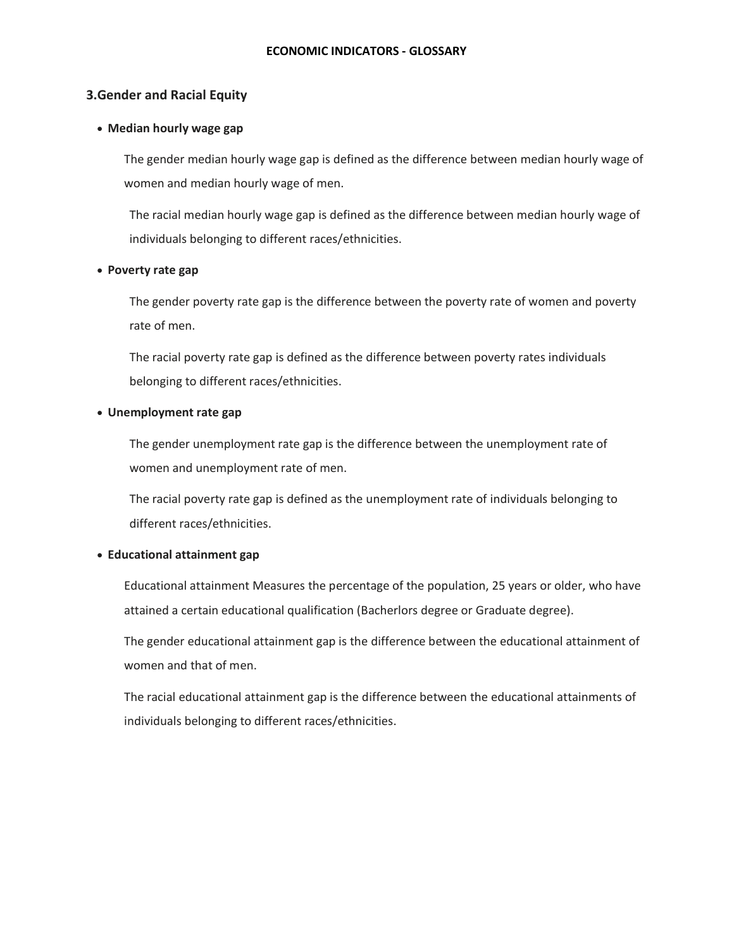#### **ECONOMIC INDICATORS - GLOSSARY**

### **3.Gender and Racial Equity**

## • **Median hourly wage gap**

The gender median hourly wage gap is defined as the difference between median hourly wage of women and median hourly wage of men.

The racial median hourly wage gap is defined as the difference between median hourly wage of individuals belonging to different races/ethnicities.

### • **Poverty rate gap**

The gender poverty rate gap is the difference between the poverty rate of women and poverty rate of men.

The racial poverty rate gap is defined as the difference between poverty rates individuals belonging to different races/ethnicities.

## • **Unemployment rate gap**

The gender unemployment rate gap is the difference between the unemployment rate of women and unemployment rate of men.

The racial poverty rate gap is defined as the unemployment rate of individuals belonging to different races/ethnicities.

# • **Educational attainment gap**

Educational attainment Measures the percentage of the population, 25 years or older, who have attained a certain educational qualification (Bacherlors degree or Graduate degree).

The gender educational attainment gap is the difference between the educational attainment of women and that of men.

The racial educational attainment gap is the difference between the educational attainments of individuals belonging to different races/ethnicities.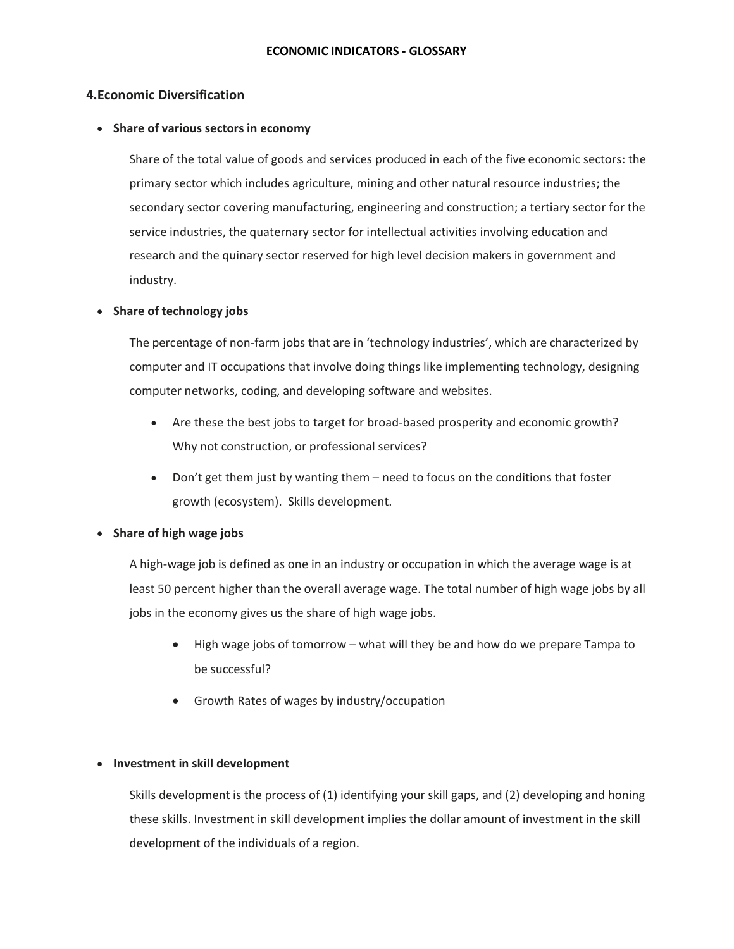# **4.Economic Diversification**

# • **Share of various sectors in economy**

Share of the total value of goods and services produced in each of the five economic sectors: the primary sector which includes agriculture, mining and other natural resource industries; the secondary sector covering manufacturing, engineering and construction; a tertiary sector for the service industries, the quaternary sector for intellectual activities involving education and research and the quinary sector reserved for high level decision makers in government and industry.

# • **Share of technology jobs**

The percentage of non-farm jobs that are in 'technology industries', which are characterized by computer and IT occupations that involve doing things like implementing technology, designing computer networks, coding, and developing software and websites.

- Are these the best jobs to target for broad-based prosperity and economic growth? Why not construction, or professional services?
- Don't get them just by wanting them need to focus on the conditions that foster growth (ecosystem). Skills development.

# • **Share of high wage jobs**

A high-wage job is defined as one in an industry or occupation in which the average wage is at least 50 percent higher than the overall average wage. The total number of high wage jobs by all jobs in the economy gives us the share of high wage jobs.

- High wage jobs of tomorrow what will they be and how do we prepare Tampa to be successful?
- Growth Rates of wages by industry/occupation

# • **Investment in skill development**

Skills development is the process of (1) identifying your skill gaps, and (2) developing and honing these skills. Investment in skill development implies the dollar amount of investment in the skill development of the individuals of a region.